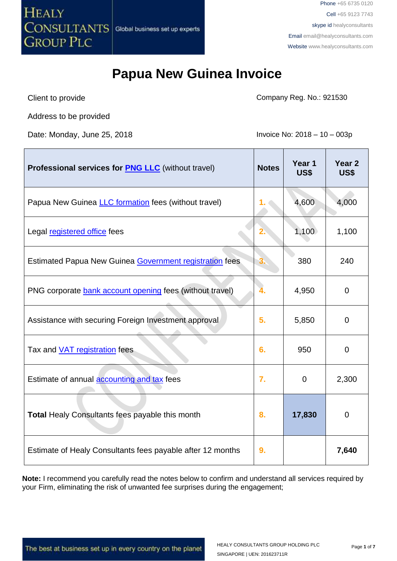

## **Papua New Guinea Invoice**

Client to provide

Company Reg. No.: 921530

Address to be provided

Date: Monday, June 25, 2018 **Invoice No: 2018** - 10 – 003p

| <b>Professional services for PNG LLC</b> (without travel)   | <b>Notes</b> | Year 1<br>US\$ | Year <sub>2</sub><br>US\$ |
|-------------------------------------------------------------|--------------|----------------|---------------------------|
| Papua New Guinea <i>LLC</i> formation fees (without travel) |              | 4,600          | 4,000                     |
| Legal registered office fees                                |              | 1,100          | 1,100                     |
| Estimated Papua New Guinea Government registration fees     |              | 380            | 240                       |
| PNG corporate bank account opening fees (without travel)    |              | 4,950          | $\Omega$                  |
| Assistance with securing Foreign Investment approval        | 5.           | 5,850          | $\overline{0}$            |
| Tax and <b>VAT</b> registration fees                        | 6.           | 950            | $\overline{0}$            |
| Estimate of annual <b>accounting and tax</b> fees           | 7.           | $\mathbf 0$    | 2,300                     |
| Total Healy Consultants fees payable this month             | 8.           | 17,830         | $\overline{0}$            |
| Estimate of Healy Consultants fees payable after 12 months  | 9.           |                | 7,640                     |

**Note:** I recommend you carefully read the notes below to confirm and understand all services required by your Firm, eliminating the risk of unwanted fee surprises during the engagement;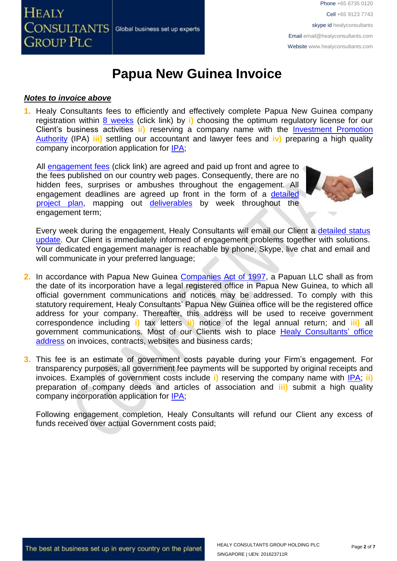

## **Papua New Guinea Invoice**

#### *Notes to invoice above*

**1.** Healy Consultants fees to efficiently and effectively complete Papua New Guinea company registration within 8 [weeks](http://www.healyconsultants.com/papua-new-guinea-company-registration/fees-timelines/#timelines) (click link) by **i)** choosing the optimum regulatory license for our Client's business activities **ii)** reserving a company name with the [Investment Promotion](http://www.ipa.gov.pg/business-registration-regulation-and-certification/)  [Authority](http://www.ipa.gov.pg/business-registration-regulation-and-certification/) (IPA) **iii)** settling our accountant and lawyer fees and **iv)** preparing a high quality company incorporation application for [IPA;](http://www.ipa.gov.pg/)

All [engagement fees](http://www.healyconsultants.com/company-registration-fees/) (click link) are agreed and paid up front and agree to the fees published on our country web pages. Consequently, there are no hidden fees, surprises or ambushes throughout the engagement. All engagement deadlines are agreed up front in the form of a detailed [project plan,](http://www.healyconsultants.com/index-important-links/example-project-plan/) mapping out [deliverables](http://www.healyconsultants.com/deliverables-to-our-clients/) by week throughout the engagement term;



Every week during the engagement, Healy Consultants will email our Client a [detailed status](http://www.healyconsultants.com/index-important-links/weekly-engagement-status-email/)  [update.](http://www.healyconsultants.com/index-important-links/weekly-engagement-status-email/) Our Client is immediately informed of engagement problems together with solutions. Your dedicated engagement manager is reachable by phone, Skype, live chat and email and will communicate in your preferred language;

- **2.** In accordance with Papua New Guinea [Companies Act of 1997,](http://www.wipo.int/wipolex/en/text.jsp?file_id=193906) a Papuan LLC shall as from the date of its incorporation have a legal registered office in Papua New Guinea, to which all official government communications and notices may be addressed. To comply with this statutory requirement, Healy Consultants' Papua New Guinea office will be the registered office address for your company. Thereafter, this address will be used to receive government correspondence including **i)** tax letters **ii)** notice of the legal annual return; and **iii)** all government communications. Most of our Clients wish to place [Healy Consultants'](http://www.healyconsultants.com/corporate-outsourcing-services/company-secretary-and-legal-registered-office/) office [address](http://www.healyconsultants.com/corporate-outsourcing-services/company-secretary-and-legal-registered-office/) on invoices, contracts, websites and business cards;
- **3.** This fee is an estimate of government costs payable during your Firm's engagement. For transparency purposes, all government fee payments will be supported by original receipts and invoices. Examples of government costs include **i)** reserving the company name with [IPA;](http://www.ipa.gov.pg/) **ii)** preparation of company deeds and articles of association and **iii)** submit a high quality company incorporation application for [IPA;](http://www.ipa.gov.pg/)

Following engagement completion, Healy Consultants will refund our Client any excess of funds received over actual Government costs paid;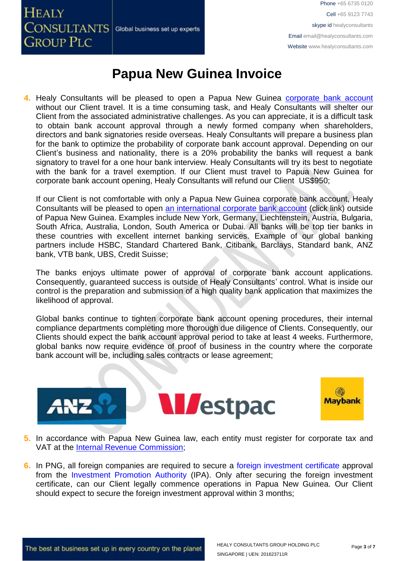**HEALY CONSULTANTS** Global business set up experts **GROUP PLC** 

Phone +65 6735 0120 Cell +65 9123 7743 skype id healyconsultants Email [email@healyconsultants.com](mailto:EMAIL@HEALYCONSULTANTS.COM) Website [www.healyconsultants.com](http://www.healyconsultants.com/)

### **Papua New Guinea Invoice**

**4.** Healy Consultants will be pleased to open a Papua New Guinea [corporate bank account](http://www.healyconsultants.com/papua-new-guinea-company-registration/banking/) without our Client travel. It is a time consuming task, and Healy Consultants will shelter our Client from the associated administrative challenges. As you can appreciate, it is a difficult task to obtain bank account approval through a newly formed company when shareholders, directors and bank signatories reside overseas. Healy Consultants will prepare a business plan for the bank to optimize the probability of corporate bank account approval. Depending on our Client's business and nationality, there is a 20% probability the banks will request a bank signatory to travel for a one hour bank interview. Healy Consultants will try its best to negotiate with the bank for a travel exemption. If our Client must travel to Papua New Guinea for corporate bank account opening, Healy Consultants will refund our Client US\$950;

If our Client is not comfortable with only a Papua New Guinea corporate bank account, Healy Consultants will be pleased to open [an international corporate bank account](http://www.healyconsultants.com/international-banking/) (click link) outside of Papua New Guinea. Examples include New York, Germany, Liechtenstein, Austria, Bulgaria, South Africa, Australia, London, South America or Dubai. All banks will be top tier banks in these countries with excellent internet banking services. Example of our global banking partners include HSBC, Standard Chartered Bank, Citibank, Barclays, Standard bank, ANZ bank, VTB bank, UBS, Credit Suisse;

The banks enjoys ultimate power of approval of corporate bank account applications. Consequently, guaranteed success is outside of Healy Consultants' control. What is inside our control is the preparation and submission of a high quality bank application that maximizes the likelihood of approval.

Global banks continue to tighten corporate bank account opening procedures, their internal compliance departments completing more thorough due diligence of Clients. Consequently, our Clients should expect the bank account approval period to take at least 4 weeks. Furthermore, global banks now require evidence of proof of business in the country where the corporate bank account will be, including sales contracts or lease agreement;





- **5.** In accordance with Papua New Guinea law, each entity must register for corporate tax and VAT at the [Internal Revenue Commission;](http://www.irc.gov.pg/)
- **6.** In PNG, all foreign companies are required to secure a foreign investment certificate approval from the Investment Promotion Authority (IPA). Only after securing the foreign investment certificate, can our Client legally commence operations in Papua New Guinea. Our Client should expect to secure the foreign investment approval within 3 months;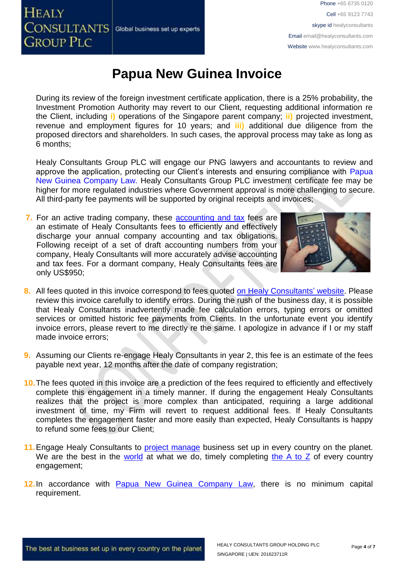# **HEALY** CONSULTANTS Global business set up experts **GROUP PLC**

Phone +65 6735 0120 Cell +65 9123 7743 skype id healyconsultants Email [email@healyconsultants.com](mailto:EMAIL@HEALYCONSULTANTS.COM) Website [www.healyconsultants.com](http://www.healyconsultants.com/)

# **Papua New Guinea Invoice**

During its review of the foreign investment certificate application, there is a 25% probability, the Investment Promotion Authority may revert to our Client, requesting additional information re the Client, including **i)** operations of the Singapore parent company; **ii)** projected investment, revenue and employment figures for 10 years; and **iii)** additional due diligence from the proposed directors and shareholders. In such cases, the approval process may take as long as 6 months;

Healy Consultants Group PLC will engage our PNG lawyers and accountants to review and approve the application, protecting our Client's interests and ensuring compliance with Papua New Guinea Company Law. Healy Consultants Group PLC investment certificate fee may be higher for more regulated industries where Government approval is more challenging to secure. All third-party fee payments will be supported by original receipts and invoices;

**7.** For an active trading company, these [accounting and tax](http://www.healyconsultants.com/papua-new-guinea-company-registration/accounting-legal/) fees are an estimate of Healy Consultants fees to efficiently and effectively discharge your annual company accounting and tax obligations. Following receipt of a set of draft accounting numbers from your company, Healy Consultants will more accurately advise accounting and tax fees. For a dormant company, Healy Consultants fees are only US\$950;



- **8.** All fees quoted in this invoice correspond to fees quoted [on Healy Consultants'](http://www.healyconsultants.com/company-registration-fees/) website. Please review this invoice carefully to identify errors. During the rush of the business day, it is possible that Healy Consultants inadvertently made fee calculation errors, typing errors or omitted services or omitted historic fee payments from Clients. In the unfortunate event you identify invoice errors, please revert to me directly re the same. I apologize in advance if I or my staff made invoice errors;
- **9.** Assuming our Clients re-engage Healy Consultants in year 2, this fee is an estimate of the fees payable next year, 12 months after the date of company registration;
- **10.**The fees quoted in this invoice are a prediction of the fees required to efficiently and effectively complete this engagement in a timely manner. If during the engagement Healy Consultants realizes that the project is more complex than anticipated, requiring a large additional investment of time, my Firm will revert to request additional fees. If Healy Consultants completes the engagement faster and more easily than expected, Healy Consultants is happy to refund some fees to our Client;
- 11. Engage Healy Consultants to **project manage** business set up in every country on the planet. We are the best in the [world](http://www.healyconsultants.com/best-in-the-world/) at what we do, timely completing [the A to Z](http://www.healyconsultants.com/a-to-z-of-business-set-up/) of every country engagement;
- **12.**In accordance with [Papua New Guinea](http://www.wipo.int/wipolex/en/text.jsp?file_id=199754) Company Law, there is no minimum capital requirement.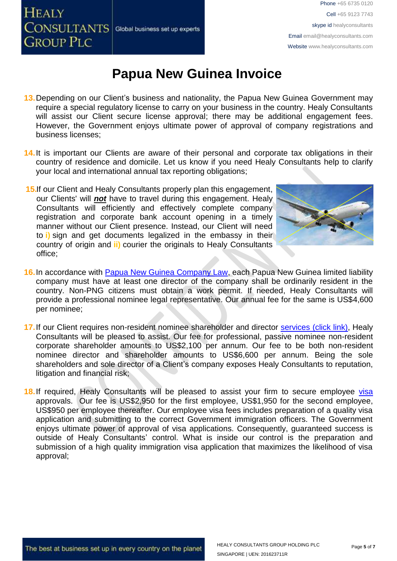# **HEALY** CONSULTANTS Global business set up experts **GROUP PLC**

## **Papua New Guinea Invoice**

- **13.**Depending on our Client's business and nationality, the Papua New Guinea Government may require a special regulatory license to carry on your business in the country. Healy Consultants will assist our Client secure license approval; there may be additional engagement fees. However, the Government enjoys ultimate power of approval of company registrations and business licenses;
- 14. It is important our Clients are aware of their personal and corporate tax obligations in their country of residence and domicile. Let us know if you need Healy Consultants help to clarify your local and international annual tax reporting obligations;
- **15.**If our Client and Healy Consultants properly plan this engagement, our Clients' will *not* have to travel during this engagement. Healy Consultants will efficiently and effectively complete company registration and corporate bank account opening in a timely manner without our Client presence. Instead, our Client will need to **i)** sign and get documents legalized in the embassy in their country of origin and **ii)** courier the originals to Healy Consultants office;



- **16.**In accordance with [Papua New Guinea Company Law,](http://www.wipo.int/wipolex/en/text.jsp?file_id=199754) each Papua New Guinea limited liability company must have at least one director of the company shall be ordinarily resident in the country. Non-PNG citizens must obtain a work permit. If needed, Healy Consultants will provide a professional nominee legal representative. Our annual fee for the same is US\$4,600 per nominee;
- 17. If our Client requires non-resident nominee shareholder and director services [\(click link\),](http://www.healyconsultants.com/corporate-outsourcing-services/nominee-shareholders-directors/) Healy Consultants will be pleased to assist. Our fee for professional, passive nominee non-resident corporate shareholder amounts to US\$2,100 per annum. Our fee to be both non-resident nominee director and shareholder amounts to US\$6,600 per annum. Being the sole shareholders and sole director of a Client's company exposes Healy Consultants to reputation, litigation and financial risk;
- **18.** If required, Healy Consultants will be pleased to assist your firm to secure employee [visa](http://www.healyconsultants.com/papua-new-guinea-company-registration/formation-support-services/) approvals. Our fee is US\$2,950 for the first employee, US\$1,950 for the second employee, US\$950 per employee thereafter. Our employee visa fees includes preparation of a quality visa application and submitting to the correct Government immigration officers. The Government enjoys ultimate power of approval of visa applications. Consequently, guaranteed success is outside of Healy Consultants' control. What is inside our control is the preparation and submission of a high quality immigration visa application that maximizes the likelihood of visa approval;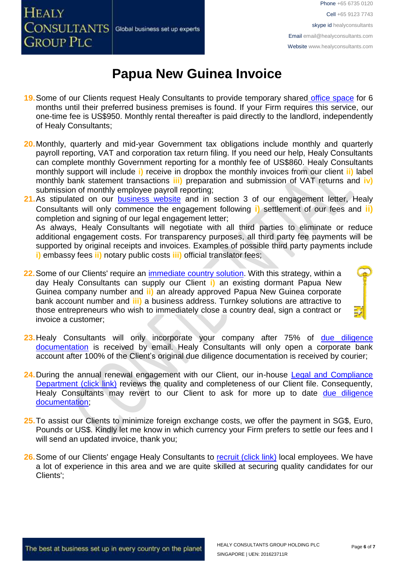# **HEALY** CONSULTANTS Global business set up experts **GROUP PLC**

# **Papua New Guinea Invoice**

- **19.**Some of our Clients request Healy Consultants to provide temporary shared [office space](http://www.healyconsultants.com/virtual-office/) for 6 months until their preferred business premises is found. If your Firm requires this service, our one-time fee is US\$950. Monthly rental thereafter is paid directly to the landlord, independently of Healy Consultants;
- **20.**Monthly, quarterly and mid-year Government tax obligations include monthly and quarterly payroll reporting, VAT and corporation tax return filing. If you need our help, Healy Consultants can complete monthly Government reporting for a monthly fee of US\$860. Healy Consultants monthly support will include **i)** receive in dropbox the monthly invoices from our client **ii)** label monthly bank statement transactions **iii)** preparation and submission of VAT returns and **iv)** submission of monthly employee payroll reporting;
- 21. As stipulated on our [business website](http://www.healyconsultants.com/) and in section 3 of our engagement letter, Healy Consultants will only commence the engagement following **i)** settlement of our fees and **ii)** completion and signing of our legal engagement letter; As always, Healy Consultants will negotiate with all third parties to eliminate or reduce additional engagement costs. For transparency purposes, all third party fee payments will be supported by original receipts and invoices. Examples of possible third party payments include **i)** embassy fees **ii)** notary public costs **iii)** official translator fees;
- **22.** Some of our Clients' require an *immediate country solution*. With this strategy, within a day Healy Consultants can supply our Client **i)** an existing dormant Papua New Guinea company number and **ii)** an already approved Papua New Guinea corporate bank account number and **iii)** a business address. Turnkey solutions are attractive to those entrepreneurs who wish to immediately close a country deal, sign a contract or invoice a customer;
- **23.**Healy Consultants will only incorporate your company after 75% of [due diligence](http://www.healyconsultants.com/due-diligence/)  [documentation](http://www.healyconsultants.com/due-diligence/) is received by email. Healy Consultants will only open a corporate bank account after 100% of the Client's original due diligence documentation is received by courier;
- 24. During the annual renewal engagement with our Client, our in-house Legal and Compliance [Department \(click link\)](http://www.healyconsultants.com/about-us/key-personnel/cai-xin-profile/) reviews the quality and completeness of our Client file. Consequently, Healy Consultants may revert to our Client to ask for more up to date due diligence [documentation;](http://www.healyconsultants.com/due-diligence/)
- **25.**To assist our Clients to minimize foreign exchange costs, we offer the payment in SG\$, Euro, Pounds or US\$. Kindly let me know in which currency your Firm prefers to settle our fees and I will send an updated invoice, thank you:
- 26. Some of our Clients' engage Healy Consultants to [recruit \(click link\)](http://www.healyconsultants.com/corporate-outsourcing-services/how-we-help-our-clients-recruit-quality-employees/) local employees. We have a lot of experience in this area and we are quite skilled at securing quality candidates for our Clients';